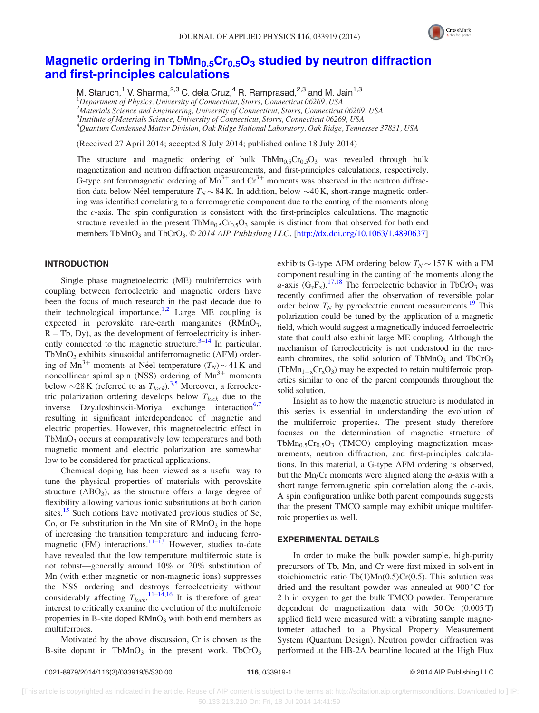

# Magnetic ordering in  $\text{TbMn}_{0.5}\text{Cr}_{0.5}\text{O}_3$  [studied by neutron diffraction](http://dx.doi.org/10.1063/1.4890637) [and first-principles calculations](http://dx.doi.org/10.1063/1.4890637)

M. Staruch,<sup>1</sup> V. Sharma,<sup>2,3</sup> C. dela Cruz,<sup>4</sup> R. Ramprasad,<sup>2,3</sup> and M. Jain<sup>1,3</sup> <sup>1</sup>Department of Physics, University of Connecticut, Storrs, Connecticut 06269, USA <sup>2</sup>Materials Science and Engineering, University of Connecticut, Storrs, Connecticut 06269, USA <sup>3</sup>Institute of Materials Science, University of Connecticut, Storrs, Connecticut 06269, USA 4 Quantum Condensed Matter Division, Oak Ridge National Laboratory, Oak Ridge, Tennessee 37831, USA

(Received 27 April 2014; accepted 8 July 2014; published online 18 July 2014)

The structure and magnetic ordering of bulk  $TbMn<sub>0.5</sub>Cr<sub>0.5</sub>O<sub>3</sub>$  was revealed through bulk magnetization and neutron diffraction measurements, and first-principles calculations, respectively. G-type antiferromagnetic ordering of  $Mn^{3+}$  and  $Cr^{3+}$  moments was observed in the neutron diffraction data below Néel temperature  $T_N \sim 84$  K. In addition, below  $\sim$  40 K, short-range magnetic ordering was identified correlating to a ferromagnetic component due to the canting of the moments along the c-axis. The spin configuration is consistent with the first-principles calculations. The magnetic structure revealed in the present  $TbMn_0sCr_0sO_3$  sample is distinct from that observed for both end members TbMnO<sub>3</sub> and TbCrO<sub>3</sub>.  $\odot$  2014 AIP Publishing LLC. [\[http://dx.doi.org/10.1063/1.4890637](http://dx.doi.org/10.1063/1.4890637)]

## INTRODUCTION

Single phase magnetoelectric (ME) multiferroics with coupling between ferroelectric and magnetic orders have been the focus of much research in the past decade due to their technological importance.<sup>[1](#page-3-0),[2](#page-3-0)</sup> Large ME coupling is expected in perovskite rare-earth manganites  $(RMnO<sub>3</sub>)$ ,  $R = Tb$ , Dy), as the development of ferroelectricity is inherently connected to the magnetic structure. $3-14$  $3-14$  In particular, TbMnO<sub>3</sub> exhibits sinusoidal antiferromagnetic (AFM) ordering of  $Mn^{3+}$  moments at Néel temperature  $(T_N) \sim 41$  K and noncollinear spiral spin (NSS) ordering of  $Mn^{3+}$  moments below  $\sim$ 28 K (referred to as  $T_{lock}$ ).<sup>[3,5](#page-3-0)</sup> Moreover, a ferroelectric polarization ordering develops below  $T_{lock}$  due to the inverse Dzyaloshinskii-Moriya exchange interaction<sup>[6,7](#page-3-0)</sup> resulting in significant interdependence of magnetic and electric properties. However, this magnetoelectric effect in TbMnO<sub>3</sub> occurs at comparatively low temperatures and both magnetic moment and electric polarization are somewhat low to be considered for practical applications.

Chemical doping has been viewed as a useful way to tune the physical properties of materials with perovskite structure  $(ABO_3)$ , as the structure offers a large degree of flexibility allowing various ionic substitutions at both cation sites.<sup>[15](#page-4-0)</sup> Such notions have motivated previous studies of Sc, Co, or Fe substitution in the Mn site of  $RMnO<sub>3</sub>$  in the hope of increasing the transition temperature and inducing ferromagnetic (FM) interactions.  $11-13$  However, studies to-date have revealed that the low temperature multiferroic state is not robust—generally around 10% or 20% substitution of Mn (with either magnetic or non-magnetic ions) suppresses the NSS ordering and destroys ferroelectricity without considerably affecting  $T_{lock}$ .<sup>[11–](#page-3-0)[14,16](#page-4-0)</sup> It is therefore of great interest to critically examine the evolution of the multiferroic properties in B-site doped  $RMnO<sub>3</sub>$  with both end members as multiferroics.

Motivated by the above discussion, Cr is chosen as the B-site dopant in TbMn $O_3$  in the present work. TbCr $O_3$ 

exhibits G-type AFM ordering below  $T_N \sim 157$  K with a FM component resulting in the canting of the moments along the  $a$ -axis  $(G_zF_x)$ .<sup>[17,18](#page-4-0)</sup> The ferroelectric behavior in TbCrO<sub>3</sub> was recently confirmed after the observation of reversible polar order below  $T_N$  by pyroelectric current measurements.<sup>[19](#page-4-0)</sup> This polarization could be tuned by the application of a magnetic field, which would suggest a magnetically induced ferroelectric state that could also exhibit large ME coupling. Although the mechanism of ferroelectricity is not understood in the rareearth chromites, the solid solution of TbMnO<sub>3</sub> and TbCrO<sub>3</sub>  $(TbMn_{1-x}Cr_xO_3)$  may be expected to retain multiferroic properties similar to one of the parent compounds throughout the solid solution.

Insight as to how the magnetic structure is modulated in this series is essential in understanding the evolution of the multiferroic properties. The present study therefore focuses on the determination of magnetic structure of TbMn<sub>0.5</sub>Cr<sub>0.5</sub>O<sub>3</sub> (TMCO) employing magnetization measurements, neutron diffraction, and first-principles calculations. In this material, a G-type AFM ordering is observed, but the Mn/Cr moments were aligned along the  $a$ -axis with a short range ferromagnetic spin correlation along the c-axis. A spin configuration unlike both parent compounds suggests that the present TMCO sample may exhibit unique multiferroic properties as well.

## EXPERIMENTAL DETAILS

In order to make the bulk powder sample, high-purity precursors of Tb, Mn, and Cr were first mixed in solvent in stoichiometric ratio Tb(1)Mn(0.5)Cr(0.5). This solution was dried and the resultant powder was annealed at  $900^{\circ}$ C for 2 h in oxygen to get the bulk TMCO powder. Temperature dependent dc magnetization data with 50 Oe (0.005 T) applied field were measured with a vibrating sample magnetometer attached to a Physical Property Measurement System (Quantum Design). Neutron powder diffraction was performed at the HB-2A beamline located at the High Flux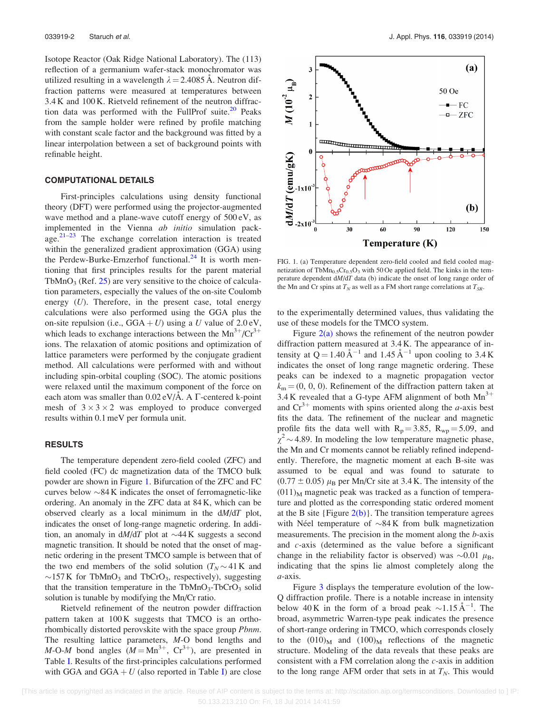<span id="page-1-0"></span>Isotope Reactor (Oak Ridge National Laboratory). The (113) reflection of a germanium wafer-stack monochromator was utilized resulting in a wavelength  $\lambda = 2.4085$  A. Neutron diffraction patterns were measured at temperatures between 3.4 K and 100 K. Rietveld refinement of the neutron diffraction data was performed with the FullProf suite. $20$  Peaks from the sample holder were refined by profile matching with constant scale factor and the background was fitted by a linear interpolation between a set of background points with refinable height.

## COMPUTATIONAL DETAILS

First-principles calculations using density functional theory (DFT) were performed using the projector-augmented wave method and a plane-wave cutoff energy of 500 eV, as implemented in the Vienna *ab initio* simulation package. $21-23$  $21-23$  $21-23$  The exchange correlation interaction is treated within the generalized gradient approximation (GGA) using the Perdew-Burke-Ernzerhof functional.<sup>[24](#page-4-0)</sup> It is worth mentioning that first principles results for the parent material TbMnO<sub>3</sub> (Ref.  $25$ ) are very sensitive to the choice of calculation parameters, especially the values of the on-site Coulomb energy  $(U)$ . Therefore, in the present case, total energy calculations were also performed using the GGA plus the on-site repulsion (i.e.,  $GGA + U$ ) using a U value of 2.0 eV, which leads to exchange interactions between the  $Mn^{3+}/Cr^{3+}$ ions. The relaxation of atomic positions and optimization of lattice parameters were performed by the conjugate gradient method. All calculations were performed with and without including spin-orbital coupling (SOC). The atomic positions were relaxed until the maximum component of the force on each atom was smaller than  $0.02 \text{ eV/A}$ . A  $\Gamma$ -centered k-point mesh of  $3 \times 3 \times 2$  was employed to produce converged results within 0.1 meV per formula unit.

## RESULTS

The temperature dependent zero-field cooled (ZFC) and field cooled (FC) dc magnetization data of the TMCO bulk powder are shown in Figure 1. Bifurcation of the ZFC and FC curves below  $\sim$ 84 K indicates the onset of ferromagnetic-like ordering. An anomaly in the ZFC data at 84 K, which can be observed clearly as a local minimum in the  $dM/dT$  plot, indicates the onset of long-range magnetic ordering. In addition, an anomaly in  $dM/dT$  plot at  $\sim$  44 K suggests a second magnetic transition. It should be noted that the onset of magnetic ordering in the present TMCO sample is between that of the two end members of the solid solution  $(T_N \sim 41 \text{ K}$  and  $\sim$ 157 K for TbMnO<sub>3</sub> and TbCrO<sub>3</sub>, respectively), suggesting that the transition temperature in the TbMnO<sub>3</sub>-TbCrO<sub>3</sub> solid solution is tunable by modifying the Mn/Cr ratio.

Rietveld refinement of the neutron powder diffraction pattern taken at 100 K suggests that TMCO is an orthorhombically distorted perovskite with the space group Pbnm. The resulting lattice parameters, M-O bond lengths and M-O-M bond angles  $(M = Mn^{3+}, Cr^{3+})$ , are presented in Table [I.](#page-2-0) Results of the first-principles calculations performed with GGA and GGA  $+ U$  (also reported in Table [I\)](#page-2-0) are close



FIG. 1. (a) Temperature dependent zero-field cooled and field cooled magnetization of TbMn<sub>0.5</sub>Cr<sub>0.5</sub>O<sub>3</sub> with 50 Oe applied field. The kinks in the temperature dependent dM/dT data (b) indicate the onset of long range order of the Mn and Cr spins at  $T_N$  as well as a FM short range correlations at  $T_{SR}$ .

to the experimentally determined values, thus validating the use of these models for the TMCO system.

Figure  $2(a)$  shows the refinement of the neutron powder diffraction pattern measured at 3.4 K. The appearance of intensity at  $Q = 1.40 \text{ Å}^{-1}$  and  $1.45 \text{ Å}^{-1}$  upon cooling to 3.4 K indicates the onset of long range magnetic ordering. These peaks can be indexed to a magnetic propagation vector  $k_m = (0, 0, 0)$ . Refinement of the diffraction pattern taken at 3.4 K revealed that a G-type AFM alignment of both  $Mn^{3+}$ and  $Cr^{3+}$  moments with spins oriented along the *a*-axis best fits the data. The refinement of the nuclear and magnetic profile fits the data well with  $R_p = 3.85$ ,  $R_{wp} = 5.09$ , and  $\chi^2$  ~ 4.89. In modeling the low temperature magnetic phase, the Mn and Cr moments cannot be reliably refined independently. Therefore, the magnetic moment at each B-site was assumed to be equal and was found to saturate to  $(0.77 \pm 0.05)$   $\mu$ <sub>B</sub> per Mn/Cr site at 3.4 K. The intensity of the  $(011)$ <sub>M</sub> magnetic peak was tracked as a function of temperature and plotted as the corresponding static ordered moment at the B site  $\{Figure 2(b)\}\$ . The transition temperature agrees with Néel temperature of  $\sim 84$  K from bulk magnetization measurements. The precision in the moment along the b-axis and c-axis (determined as the value before a significant change in the reliability factor is observed) was  $\sim 0.01 \mu_B$ , indicating that the spins lie almost completely along the a-axis.

Figure [3](#page-2-0) displays the temperature evolution of the low-Q diffraction profile. There is a notable increase in intensity below 40 K in the form of a broad peak  $\sim$ 1.15 Å<sup>-1</sup>. The broad, asymmetric Warren-type peak indicates the presence of short-range ordering in TMCO, which corresponds closely to the  $(010)_M$  and  $(100)_M$  reflections of the magnetic structure. Modeling of the data reveals that these peaks are consistent with a FM correlation along the c-axis in addition to the long range AFM order that sets in at  $T_N$ . This would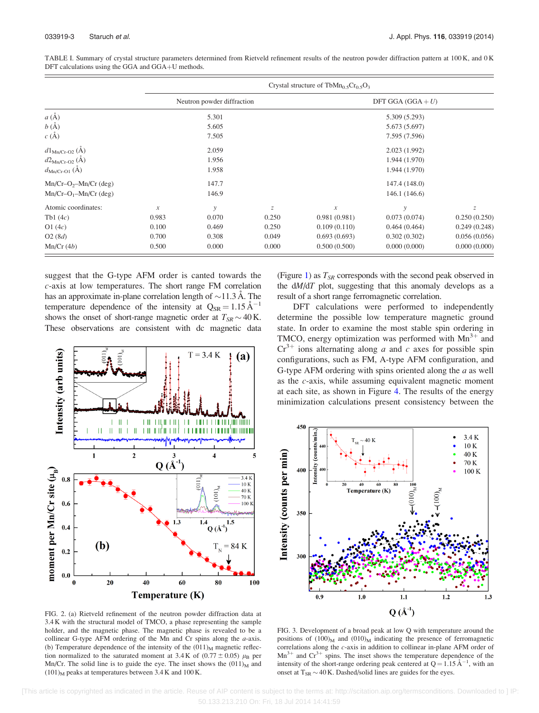|                                   | Crystal structure of TbMn <sub>0</sub> $_5Cr_0$ $_5O_3$ |       |       |                                      |               |                  |
|-----------------------------------|---------------------------------------------------------|-------|-------|--------------------------------------|---------------|------------------|
|                                   | Neutron powder diffraction<br>5.301                     |       |       | DFT GGA $(GGA + U)$<br>5.309 (5.293) |               |                  |
| $a(\AA)$                          |                                                         |       |       |                                      |               |                  |
| $b(\AA)$                          |                                                         | 5.605 |       |                                      | 5.673 (5.697) |                  |
| c(A)                              |                                                         | 7.505 |       |                                      | 7.595 (7.596) |                  |
| $d1_{\text{Mn}/\text{Cr-O2}}$ (A) |                                                         | 2.059 |       |                                      | 2.023 (1.992) |                  |
| $d2_{\text{Mn/Cr-O2}}(\AA)$       |                                                         | 1.956 |       |                                      | 1.944 (1.970) |                  |
| $d_{\text{Mn/Cr-O1}}(\AA)$        |                                                         | 1.958 |       |                                      | 1.944 (1.970) |                  |
| $Mn/Cr-O2-Mn/Cr$ (deg)            |                                                         | 147.7 |       |                                      | 147.4 (148.0) |                  |
| $Mn/Cr-O_1-Mn/Cr$ (deg)           |                                                         | 146.9 |       |                                      | 146.1(146.6)  |                  |
| Atomic coordinates:               | $\boldsymbol{\mathcal{X}}$                              | y     | Ζ     | $\boldsymbol{\mathcal{X}}$           | $\mathcal{V}$ | $\boldsymbol{Z}$ |
| Tb1 $(4c)$                        | 0.983                                                   | 0.070 | 0.250 | 0.981(0.981)                         | 0.073(0.074)  | 0.250(0.250)     |
| O1(4c)                            | 0.100                                                   | 0.469 | 0.250 | 0.109(0.110)                         | 0.464(0.464)  | 0.249(0.248)     |
| O2(8d)                            | 0.700                                                   | 0.308 | 0.049 | 0.693(0.693)                         | 0.302(0.302)  | 0.056(0.056)     |
| Mn/Cr(4b)                         | 0.500                                                   | 0.000 | 0.000 | 0.500(0.500)                         | 0.000(0.000)  | 0.000(0.000)     |

<span id="page-2-0"></span>TABLE I. Summary of crystal structure parameters determined from Rietveld refinement results of the neutron powder diffraction pattern at 100 K, and 0 K DFT calculations using the GGA and GGA+U methods.

suggest that the G-type AFM order is canted towards the c-axis at low temperatures. The short range FM correlation has an approximate in-plane correlation length of  $\sim$ 11.3 Å. The temperature dependence of the intensity at  $Q_{SR} = 1.15 \text{ Å}^{-1}$ shows the onset of short-range magnetic order at  $T_{SR}$  ~ 40 K. These observations are consistent with dc magnetic data



FIG. 2. (a) Rietveld refinement of the neutron powder diffraction data at 3.4 K with the structural model of TMCO, a phase representing the sample holder, and the magnetic phase. The magnetic phase is revealed to be a collinear G-type AFM ordering of the Mn and Cr spins along the  $a$ -axis. (b) Temperature dependence of the intensity of the  $(011)_{M}$  magnetic reflection normalized to the saturated moment at 3.4 K of  $(0.77 \pm 0.05)$   $\mu_B$  per Mn/Cr. The solid line is to guide the eye. The inset shows the  $(011)<sub>M</sub>$  and  $(101)$ <sub>M</sub> peaks at temperatures between 3.4 K and 100 K.

(Figure [1\)](#page-1-0) as  $T_{SR}$  corresponds with the second peak observed in the dM/dT plot, suggesting that this anomaly develops as a result of a short range ferromagnetic correlation.

DFT calculations were performed to independently determine the possible low temperature magnetic ground state. In order to examine the most stable spin ordering in TMCO, energy optimization was performed with  $Mn^{3+}$  and  $Cr^{3+}$  ions alternating along a and c axes for possible spin configurations, such as FM, A-type AFM configuration, and G-type AFM ordering with spins oriented along the  $a$  as well as the c-axis, while assuming equivalent magnetic moment at each site, as shown in Figure [4.](#page-3-0) The results of the energy minimization calculations present consistency between the



FIG. 3. Development of a broad peak at low Q with temperature around the positions of  $(100)_{\text{M}}$  and  $(010)_{\text{M}}$  indicating the presence of ferromagnetic correlations along the c-axis in addition to collinear in-plane AFM order of  $Mn^{3+}$  and  $Cr^{3+}$  spins. The inset shows the temperature dependence of the intensity of the short-range ordering peak centered at  $Q = 1.15 \text{ Å}^{-1}$ , with an onset at  $T_{SR} \sim 40$  K. Dashed/solid lines are guides for the eyes.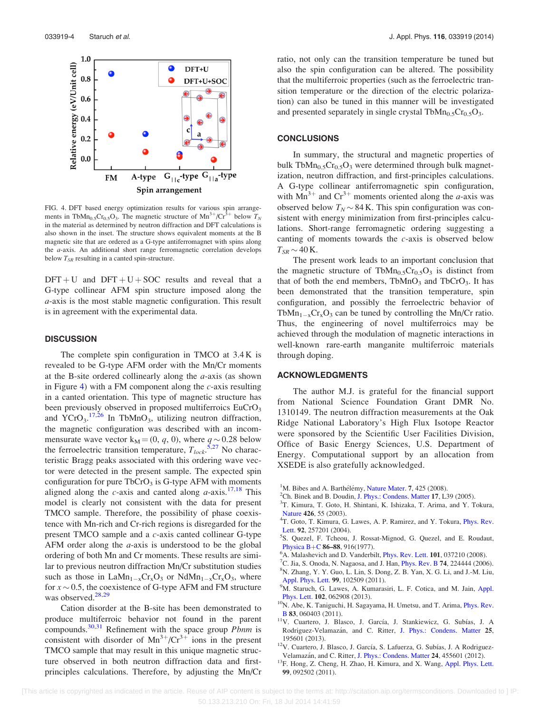<span id="page-3-0"></span>

FIG. 4. DFT based energy optimization results for various spin arrangements in TbMn<sub>0.5</sub>Cr<sub>0.5</sub>O<sub>3</sub>. The magnetic structure of Mn<sup>3+</sup>/Cr<sup>3+</sup> below  $T_N$ in the material as determined by neutron diffraction and DFT calculations is also shown in the inset. The structure shows equivalent moments at the B magnetic site that are ordered as a G-type antiferromagnet with spins along the a-axis. An additional short range ferromagnetic correlation develops below  $T_{SR}$  resulting in a canted spin-structure.

 $DFT + U$  and  $DFT + U + SOC$  results and reveal that a G-type collinear AFM spin structure imposed along the a-axis is the most stable magnetic configuration. This result is in agreement with the experimental data.

## **DISCUSSION**

The complete spin configuration in TMCO at 3.4 K is revealed to be G-type AFM order with the Mn/Cr moments at the B-site ordered collinearly along the  $a$ -axis (as shown in Figure 4) with a FM component along the  $c$ -axis resulting in a canted orientation. This type of magnetic structure has been previously observed in proposed multiferroics EuCrO<sub>3</sub> and  $\text{YCrO}_3$ ,  $^{17,26}$  $^{17,26}$  $^{17,26}$  In TbMnO<sub>3</sub>, utilizing neutron diffraction, the magnetic configuration was described with an incommensurate wave vector  $k_M = (0, q, 0)$ , where  $q \sim 0.28$  below the ferroelectric transition temperature,  $T_{lock}$ ,  $\frac{5,27}{5}$  $\frac{5,27}{5}$  $\frac{5,27}{5}$  No characteristic Bragg peaks associated with this ordering wave vector were detected in the present sample. The expected spin configuration for pure  $TbCrO<sub>3</sub>$  is G-type AFM with moments aligned along the c-axis and canted along  $a$ -axis.<sup>17,18</sup> This model is clearly not consistent with the data for present TMCO sample. Therefore, the possibility of phase coexistence with Mn-rich and Cr-rich regions is disregarded for the present TMCO sample and a c-axis canted collinear G-type AFM order along the  $a$ -axis is understood to be the global ordering of both Mn and Cr moments. These results are similar to previous neutron diffraction Mn/Cr substitution studies such as those in  $\text{L}a\text{Mn}_{1-x}\text{Cr}_x\text{O}_3$  or  $\text{Nd}\text{Mn}_{1-x}\text{Cr}_x\text{O}_3$ , where for  $x \sim 0.5$ , the coexistence of G-type AFM and FM structure was observed. $28,29$ 

Cation disorder at the B-site has been demonstrated to produce multiferroic behavior not found in the parent compounds. $30,31$  Refinement with the space group *Pbnm* is consistent with disorder of  $Mn^{3+}/Cr^{3+}$  ions in the present TMCO sample that may result in this unique magnetic structure observed in both neutron diffraction data and firstprinciples calculations. Therefore, by adjusting the Mn/Cr ratio, not only can the transition temperature be tuned but also the spin configuration can be altered. The possibility that the multiferroic properties (such as the ferroelectric transition temperature or the direction of the electric polarization) can also be tuned in this manner will be investigated and presented separately in single crystal TbMn<sub>0.5</sub>Cr<sub>0.5</sub>O<sub>3</sub>.

## **CONCLUSIONS**

In summary, the structural and magnetic properties of bulk TbMn<sub>0.5</sub>Cr<sub>0.5</sub>O<sub>3</sub> were determined through bulk magnetization, neutron diffraction, and first-principles calculations. A G-type collinear antiferromagnetic spin configuration, with  $Mn^{3+}$  and  $Cr^{3+}$  moments oriented along the *a*-axis was observed below  $T_N \sim 84$  K. This spin configuration was consistent with energy minimization from first-principles calculations. Short-range ferromagnetic ordering suggesting a canting of moments towards the  $c$ -axis is observed below  $T_{SR}$  ~ 40 K.

The present work leads to an important conclusion that the magnetic structure of TbMn<sub>0.5</sub>Cr<sub>0.5</sub>O<sub>3</sub> is distinct from that of both the end members,  $TbMnO<sub>3</sub>$  and  $TbCrO<sub>3</sub>$ . It has been demonstrated that the transition temperature, spin configuration, and possibly the ferroelectric behavior of TbMn<sub>1-x</sub>Cr<sub>x</sub>O<sub>3</sub> can be tuned by controlling the Mn/Cr ratio. Thus, the engineering of novel multiferroics may be achieved through the modulation of magnetic interactions in well-known rare-earth manganite multiferroic materials through doping.

## ACKNOWLEDGMENTS

The author M.J. is grateful for the financial support from National Science Foundation Grant DMR No. 1310149. The neutron diffraction measurements at the Oak Ridge National Laboratory's High Flux Isotope Reactor were sponsored by the Scientific User Facilities Division, Office of Basic Energy Sciences, U.S. Department of Energy. Computational support by an allocation from XSEDE is also gratefully acknowledged.

- <sup>1</sup>M. Bibes and A. Barthélémy, [Nature Mater.](http://dx.doi.org/10.1038/nmat2189) 7, 425 (2008).<br><sup>2</sup>Ch. Binek and B. Doudin, J. Phys.: Condens. Matter 17, 1.2
- <sup>2</sup>Ch. Binek and B. Doudin, [J. Phys.: Condens. Matter](http://dx.doi.org/10.1088/0953-8984/17/2/L06) 17, L39 (2005).
- <sup>3</sup>T. Kimura, T. Goto, H. Shintani, K. Ishizaka, T. Arima, and Y. Tokura, [Nature](http://dx.doi.org/10.1038/nature02018) 426, 55 (2003).
- <sup>4</sup>T. Goto, T. Kimura, G. Lawes, A. P. Ramirez, and Y. Tokura, *[Phys. Rev.](http://dx.doi.org/10.1103/PhysRevLett.92.257201)* [Lett.](http://dx.doi.org/10.1103/PhysRevLett.92.257201) 92, 257201 (2004).
- <sup>5</sup>S. Quezel, F. Tcheou, J. Rossat-Mignod, G. Quezel, and E. Roudaut, [Physica B](http://dx.doi.org/10.1016/0378-4363(77)90740-9)+[C](http://dx.doi.org/10.1016/0378-4363(77)90740-9) 86–88, 916(1977).
- $^5$ A. Malashevich and D. Vanderbilt, *[Phys. Rev. Lett.](http://dx.doi.org/10.1103/PhysRevLett.101.037210)* 101, 037210 (2008).
- <sup>7</sup>C. Jia, S. Onoda, N. Nagaosa, and J. Han, *[Phys. Rev. B](http://dx.doi.org/10.1103/PhysRevB.74.224444)* **74**, 224444 (2006). N. Zhang, Y. Y. Guo, L. Lin, S. Dong, Z. B. Yan, X. G. Li, and J.-M. Liu,
- [Appl. Phys. Lett.](http://dx.doi.org/10.1063/1.3636399) 99, 102509 (2011). <sup>9</sup>M. Staruch, G. Lawes, A. Kumarasiri, L. F. Cotica, and M. Jain, [Appl.](http://dx.doi.org/10.1063/1.4792526)
- [Phys. Lett.](http://dx.doi.org/10.1063/1.4792526) 102, 062908 (2013). <sup>10</sup>N. Abe, K. Taniguchi, H. Sagayama, H. Umetsu, and T. Arima, [Phys. Rev.](http://dx.doi.org/10.1103/PhysRevB.83.060403) **B** 83, 060403 (2011).
- $B$  83, 060403 (2011).<br><sup>11</sup>V. Cuartero, J. Blasco, J. García, J. Stankiewicz, G. Subías, J. A Rodriguez-Velamazán, and C. Ritter, [J. Phys.: Condens. Matter](http://dx.doi.org/10.1088/0953-8984/25/19/195601) 25, 195601 (2013).<br><sup>12</sup>V. Cuartero, J. Blasco, J. García, S. Lafuerza, G. Subías, J. A Rodriguez-
- Velamazán, and C. Ritter, J. Phys.: Condens. Matter 24, 455601 (2012).
- $13F.$  Hong, Z. Cheng, H. Zhao, H. Kimura, and X. Wang, [Appl. Phys. Lett.](http://dx.doi.org/10.1063/1.3632061) 99, 092502 (2011).